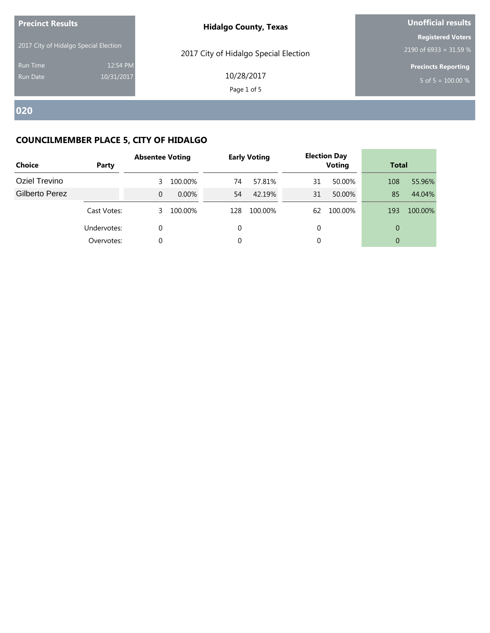| <b>Precinct Results</b><br>2017 City of Hidalgo Special Election |                        | <b>Hidalgo County, Texas</b>          | <b>Unofficial results</b><br><b>Registered Voters</b><br>2190 of 6933 = 31.59 % |  |  |
|------------------------------------------------------------------|------------------------|---------------------------------------|---------------------------------------------------------------------------------|--|--|
|                                                                  |                        | 2017 City of Hidalgo Special Election |                                                                                 |  |  |
| <b>Run Time</b><br>Run Date                                      | 12:54 PM<br>10/31/2017 | 10/28/2017<br>Page 1 of 5             | <b>Precincts Reporting</b><br>5 of 5 = $100.00\%$                               |  |  |
|                                                                  |                        |                                       |                                                                                 |  |  |

| <b>Choice</b>  | Party       | <b>Absentee Voting</b> |          |     | <b>Early Voting</b> |    | <b>Election Day</b><br><b>Voting</b> |          | <b>Total</b> |  |
|----------------|-------------|------------------------|----------|-----|---------------------|----|--------------------------------------|----------|--------------|--|
| Oziel Trevino  |             |                        | 100.00%  | 74  | 57.81%              | 31 | 50.00%                               | 108      | 55.96%       |  |
| Gilberto Perez |             | 0                      | $0.00\%$ | 54  | 42.19%              | 31 | 50.00%                               | 85       | 44.04%       |  |
|                | Cast Votes: | 3                      | 100.00%  | 128 | 100.00%             | 62 | 100.00%                              | 193      | 100.00%      |  |
|                | Undervotes: | 0                      |          |     |                     |    |                                      | $\Omega$ |              |  |
|                | Overvotes:  |                        |          |     |                     |    |                                      | $\Omega$ |              |  |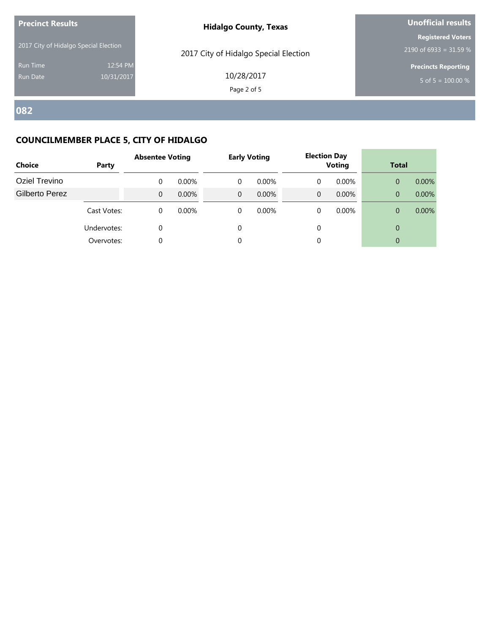| <b>Precinct Results</b>               |                        | <b>Hidalgo County, Texas</b>          | <b>Unofficial results</b>                          |  |  |  |
|---------------------------------------|------------------------|---------------------------------------|----------------------------------------------------|--|--|--|
| 2017 City of Hidalgo Special Election |                        | 2017 City of Hidalgo Special Election | <b>Registered Voters</b><br>2190 of 6933 = 31.59 % |  |  |  |
| <b>Run Time</b><br><b>Run Date</b>    | 12:54 PM<br>10/31/2017 | 10/28/2017<br>Page 2 of 5             | <b>Precincts Reporting</b><br>5 of 5 = $100.00\%$  |  |  |  |
|                                       |                        |                                       |                                                    |  |  |  |

| <b>Choice</b>  | Party       | <b>Absentee Voting</b> |          |   | <b>Early Voting</b> |   | <b>Election Day</b><br><b>Voting</b> |          | <b>Total</b> |  |
|----------------|-------------|------------------------|----------|---|---------------------|---|--------------------------------------|----------|--------------|--|
| Oziel Trevino  |             | 0                      | $0.00\%$ | 0 | $0.00\%$            | 0 | $0.00\%$                             | $\Omega$ | $0.00\%$     |  |
| Gilberto Perez |             | 0                      | 0.00%    | 0 | $0.00\%$            | 0 | $0.00\%$                             | $\Omega$ | $0.00\%$     |  |
|                | Cast Votes: | 0                      | $0.00\%$ | 0 | $0.00\%$            | 0 | $0.00\%$                             | $\Omega$ | $0.00\%$     |  |
|                | Undervotes: | 0                      |          |   |                     | 0 |                                      | $\Omega$ |              |  |
|                | Overvotes:  |                        |          |   |                     |   |                                      | $\Omega$ |              |  |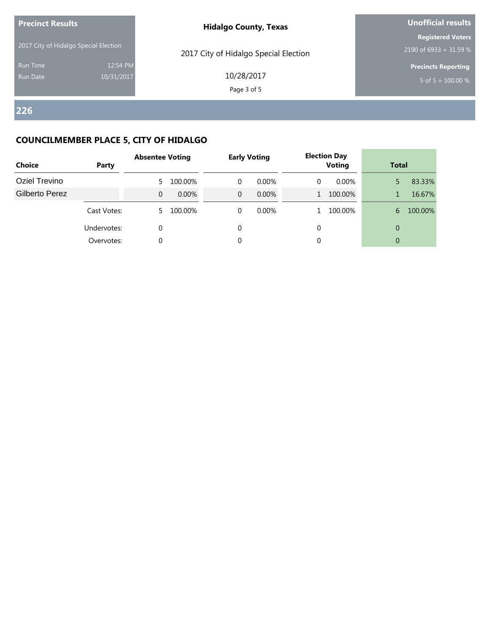| 2017 City of Hidalgo Special Election<br>2017 City of Hidalgo Special Election<br>12:54 PM<br><b>Run Time</b><br>10/28/2017<br>10/31/2017<br><b>Run Date</b> | <b>Precinct Results</b> | <b>Unofficial results</b>                          |
|--------------------------------------------------------------------------------------------------------------------------------------------------------------|-------------------------|----------------------------------------------------|
|                                                                                                                                                              |                         | <b>Registered Voters</b><br>2190 of 6933 = 31.59 % |
| Page 3 of 5                                                                                                                                                  |                         | <b>Precincts Reporting</b><br>5 of 5 = $100.00\%$  |

| <b>Choice</b>  | Party       | <b>Absentee Voting</b> |          |          | <b>Early Voting</b> |   | <b>Election Day</b><br><b>Voting</b> |              | <b>Total</b> |  |
|----------------|-------------|------------------------|----------|----------|---------------------|---|--------------------------------------|--------------|--------------|--|
| Oziel Trevino  |             |                        | 100.00%  | 0        | $0.00\%$            | 0 | $0.00\%$                             |              | 83.33%       |  |
| Gilberto Perez |             | 0                      | $0.00\%$ | $\Omega$ | $0.00\%$            |   | 100.00%                              |              | 16.67%       |  |
|                | Cast Votes: |                        | 100.00%  | 0        | 0.00%               |   | 100.00%                              | 6            | 100.00%      |  |
|                | Undervotes: | 0                      |          | 0        |                     |   |                                      | $\mathbf{0}$ |              |  |
|                | Overvotes:  | 0                      |          |          |                     |   |                                      | $\mathbf{0}$ |              |  |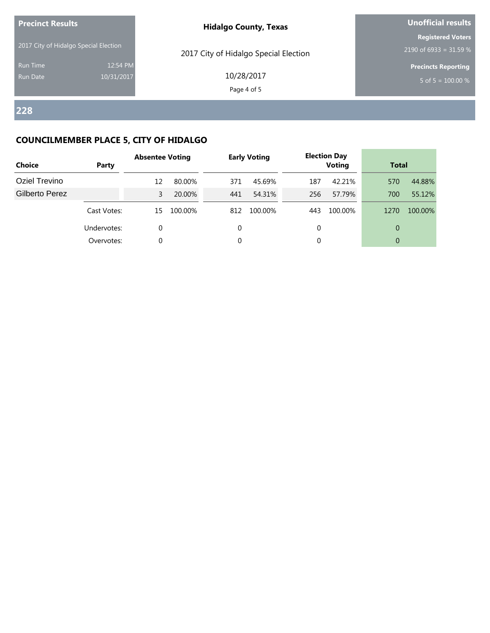| <b>Precinct Results</b>               |                        | <b>Hidalgo County, Texas</b>          | <b>Unofficial results</b>                            |  |  |
|---------------------------------------|------------------------|---------------------------------------|------------------------------------------------------|--|--|
| 2017 City of Hidalgo Special Election |                        | 2017 City of Hidalgo Special Election | <b>Registered Voters</b><br>2190 of 6933 = 31.59 $%$ |  |  |
| <b>Run Time</b><br>Run Date           | 12:54 PM<br>10/31/2017 | 10/28/2017<br>Page 4 of 5             | <b>Precincts Reporting</b><br>5 of 5 = $100.00\%$    |  |  |
|                                       |                        |                                       |                                                      |  |  |

| <b>Choice</b>  | Party       | <b>Absentee Voting</b> |         |     | <b>Early Voting</b> |     | <b>Election Day</b><br><b>Voting</b> |          | <b>Total</b> |  |
|----------------|-------------|------------------------|---------|-----|---------------------|-----|--------------------------------------|----------|--------------|--|
| Oziel Trevino  |             | 12                     | 80.00%  | 371 | 45.69%              | 187 | 42.21%                               | 570      | 44.88%       |  |
| Gilberto Perez |             | 3                      | 20.00%  | 441 | 54.31%              | 256 | 57.79%                               | 700      | 55.12%       |  |
|                | Cast Votes: | 15                     | 100.00% | 812 | 100.00%             | 443 | 100.00%                              | 1270     | 100.00%      |  |
|                | Undervotes: | 0                      |         | 0   |                     |     |                                      | $\Omega$ |              |  |
|                | Overvotes:  | 0                      |         |     |                     |     |                                      | $\Omega$ |              |  |